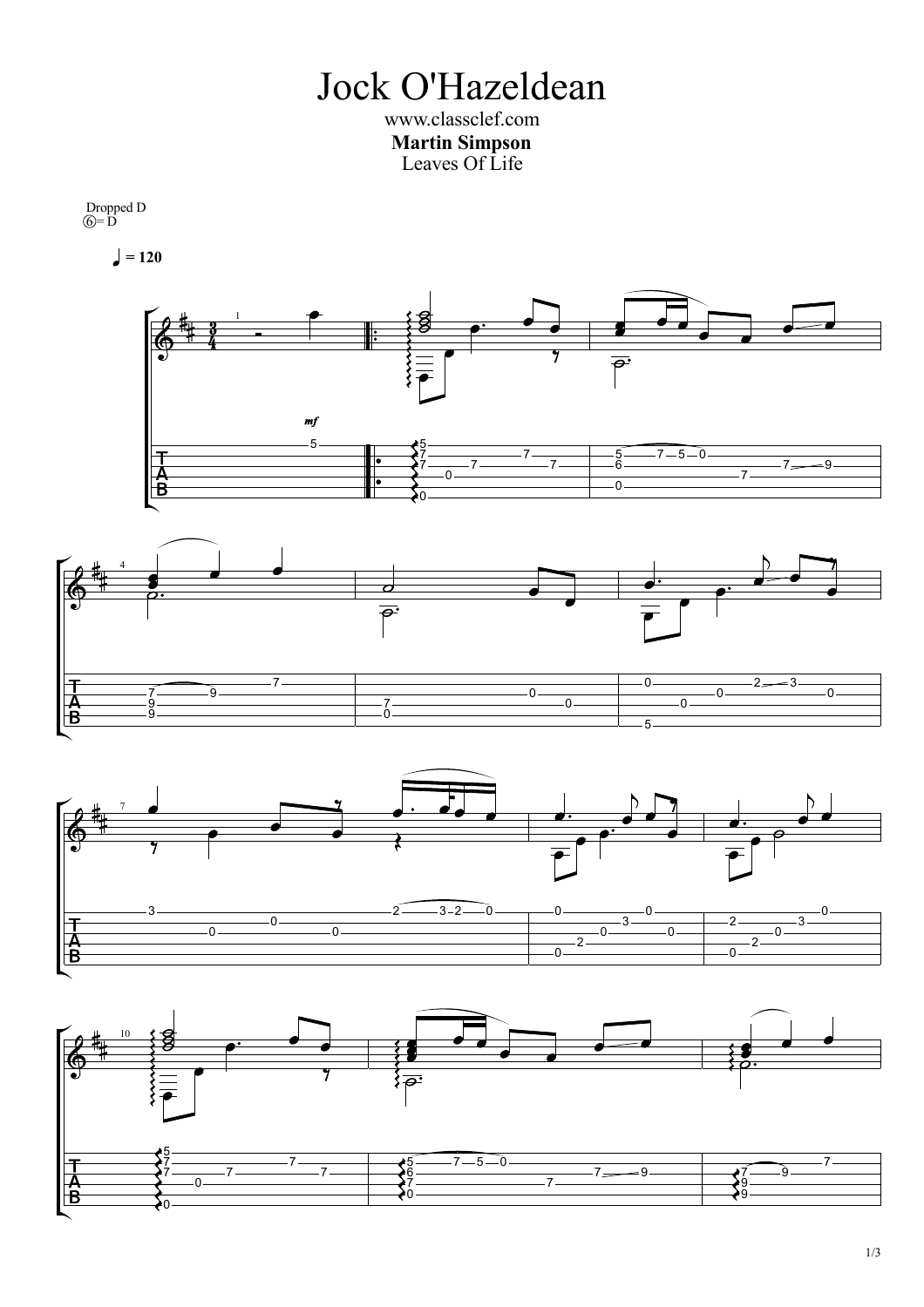## Jock O'Hazeldean

www.classclef.com **Martin Simpson** Leaves Of Life

Dropped D  $\widehat{O} = \overline{D}$ 

 $= 120$ 







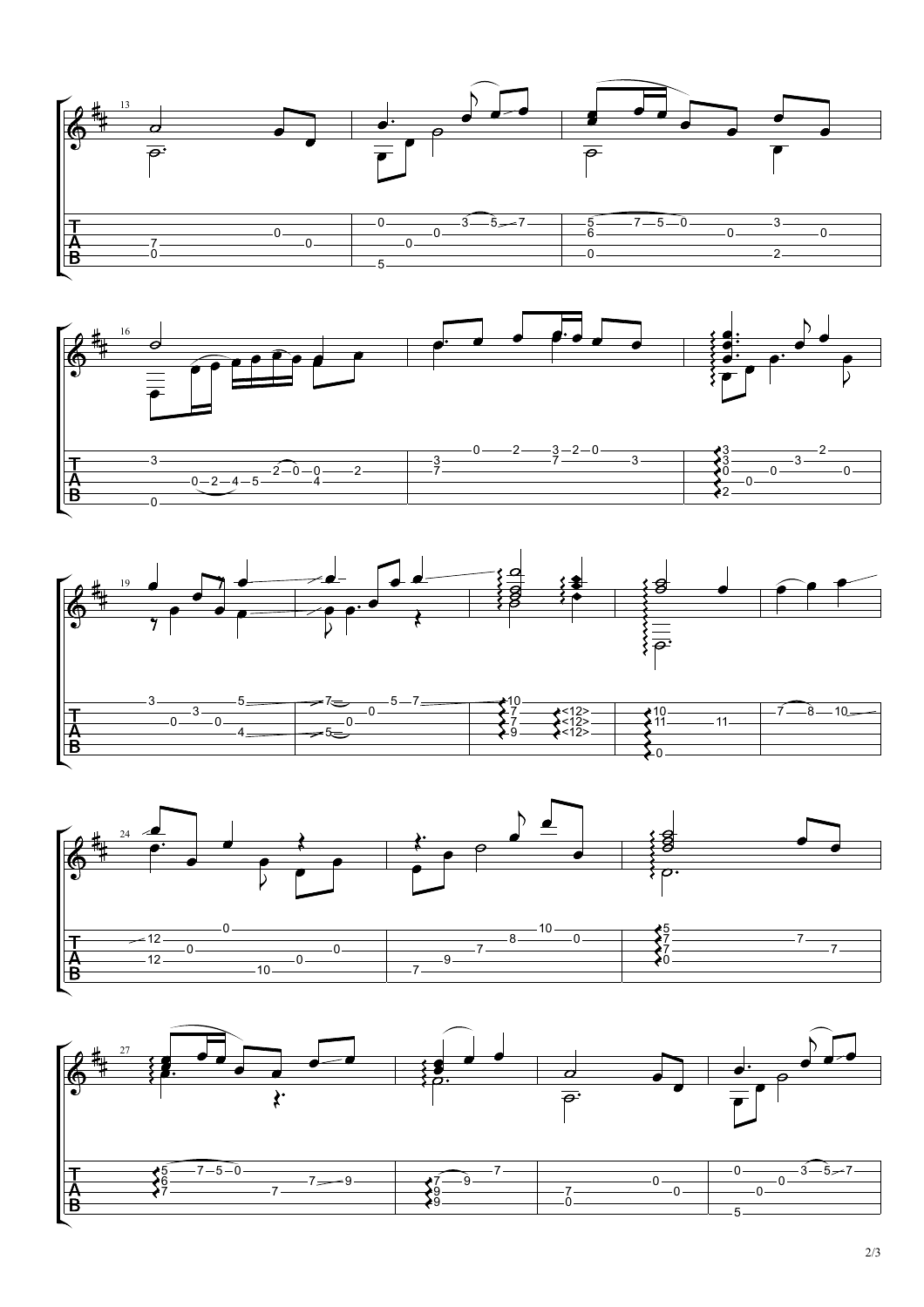